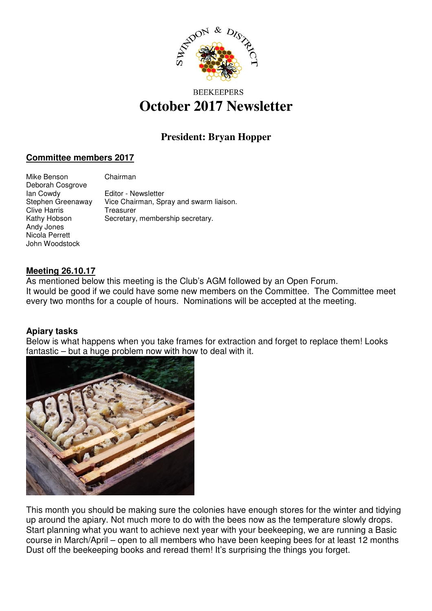

# **BEEKEEPERS October 2017 Newsletter**

# **President: Bryan Hopper**

# **Committee members 2017**

| Mike Benson<br>Deborah Cosgrove | Chairman                                |
|---------------------------------|-----------------------------------------|
| lan Cowdy                       | Editor - Newsletter                     |
| Stephen Greenaway               | Vice Chairman, Spray and swarm liaison. |
| <b>Clive Harris</b>             | Treasurer                               |
| Kathy Hobson                    | Secretary, membership secretary.        |
| Andy Jones                      |                                         |
| Nicola Perrett                  |                                         |
| John Woodstock                  |                                         |

### **Meeting 26.10.17**

As mentioned below this meeting is the Club's AGM followed by an Open Forum. It would be good if we could have some new members on the Committee. The Committee meet every two months for a couple of hours. Nominations will be accepted at the meeting.

### **Apiary tasks**

Below is what happens when you take frames for extraction and forget to replace them! Looks fantastic – but a huge problem now with how to deal with it.



This month you should be making sure the colonies have enough stores for the winter and tidying up around the apiary. Not much more to do with the bees now as the temperature slowly drops. Start planning what you want to achieve next year with your beekeeping, we are running a Basic course in March/April – open to all members who have been keeping bees for at least 12 months Dust off the beekeeping books and reread them! It's surprising the things you forget.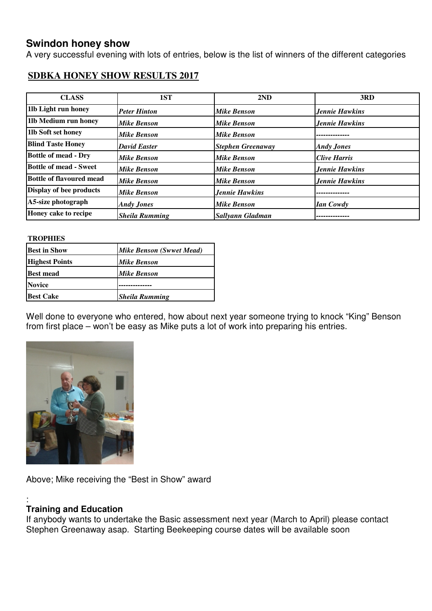# **Swindon honey show**

A very successful evening with lots of entries, below is the list of winners of the different categories

# **SDBKA HONEY SHOW RESULTS 2017**

| <b>CLASS</b>                    | 1ST                   | 2ND                      | 3RD                   |
|---------------------------------|-----------------------|--------------------------|-----------------------|
| 11b Light run honey             | <b>Peter Hinton</b>   | <b>Mike Benson</b>       | Jennie Hawkins        |
| 11b Medium run honey            | Mike Benson           | <b>Mike Benson</b>       | <b>Jennie Hawkins</b> |
| 11b Soft set honey              | <b>Mike Benson</b>    | <b>Mike Benson</b>       |                       |
| <b>Blind Taste Honey</b>        | <b>David Easter</b>   | <b>Stephen Greenaway</b> | <b>Andy Jones</b>     |
| <b>Bottle of mead - Dry</b>     | Mike Benson           | <b>Mike Benson</b>       | Clive Harris          |
| <b>Bottle of mead - Sweet</b>   | Mike Benson           | <b>Mike Benson</b>       | <b>Jennie Hawkins</b> |
| <b>Bottle of flavoured mead</b> | <b>Mike Benson</b>    | <b>Mike Benson</b>       | <b>Jennie Hawkins</b> |
| Display of bee products         | <b>Mike Benson</b>    | <b>Jennie Hawkins</b>    |                       |
| A5-size photograph              | <b>Andy Jones</b>     | <b>Mike Benson</b>       | <b>Ian Cowdy</b>      |
| Honey cake to recipe            | <b>Sheila Rumming</b> | Sallyann Gladman         |                       |

#### **TROPHIES**

| <b>Best in Show</b>   | <b>Mike Benson (Swwet Mead)</b> |
|-----------------------|---------------------------------|
| <b>Highest Points</b> | <b>Mike Benson</b>              |
| <b>Best mead</b>      | <b>Mike Benson</b>              |
| <b>Novice</b>         |                                 |
| <b>Best Cake</b>      | <b>Sheila Rumming</b>           |

Well done to everyone who entered, how about next year someone trying to knock "King" Benson from first place – won't be easy as Mike puts a lot of work into preparing his entries.



Above; Mike receiving the "Best in Show" award

#### : **Training and Education**

If anybody wants to undertake the Basic assessment next year (March to April) please contact Stephen Greenaway asap. Starting Beekeeping course dates will be available soon